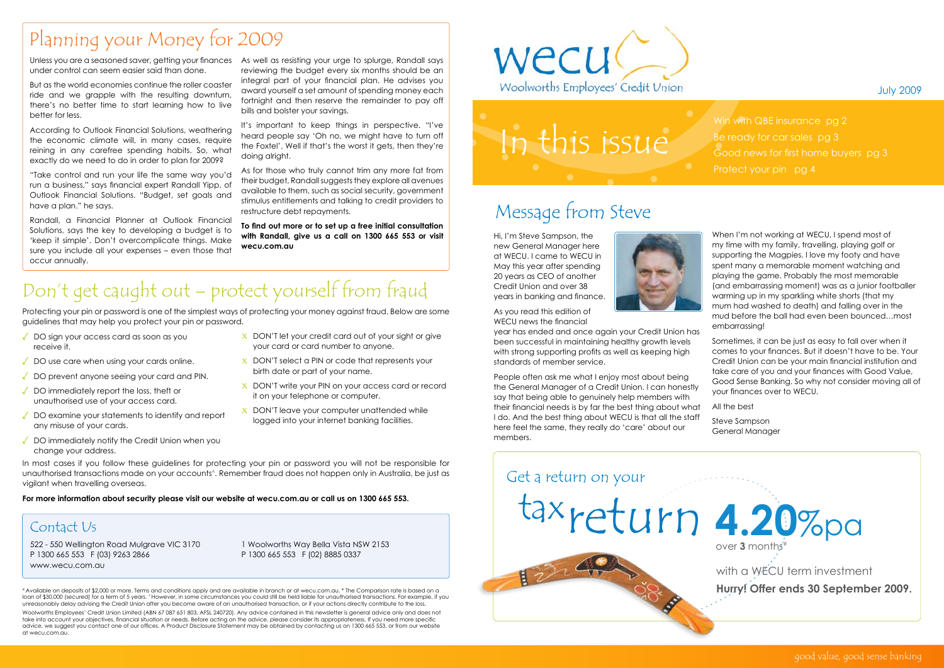#### July 2009

### Message from Steve

Hi, I'm Steve Sampson, the new General Manager here at WECU. I came to WECU in May this year after spending 20 years as CEO of another Credit Union and over 38 years in banking and finance.



As you read this edition of WECU news the financial

year has ended and once again your Credit Union has been successful in maintaining healthy growth levels with strong supporting profits as well as keeping high standards of member service.

People often ask me what I enjoy most about being the General Manager of a Credit Union. I can honestly say that being able to genuinely help members with their financial needs is by far the best thing about what I do. And the best thing about WECU is that all the staff here feel the same, they really do 'care' about our members.

When I'm not working at WECU, I spend most of my time with my family, travelling, playing golf or supporting the Magpies. I love my footy and have spent many a memorable moment watching and playing the game. Probably the most memorable (and embarrassing moment) was as a junior footballer warming up in my sparkling white shorts (that my mum had washed to death) and falling over in the mud before the ball had even been bounced…most embarrassing!

Sometimes, it can be just as easy to fall over when it comes to your finances. But it doesn't have to be. Your Credit Union can be your main financial institution and take care of you and your finances with Good Value, Good Sense Banking. So why not consider moving all of your finances over to WECU.

In most cases if you follow these guidelines for protecting your pin or password you will not be responsible for unauthorised transactions made on your accounts^. Remember fraud does not happen only in Australia, be just as vigilant when travelling overseas.

All the best

Steve Sampson General Manager

- DO sign your access card as soon as you receive it.
- $\sqrt{ }$  DO use care when using your cards online.
- ◆ DO prevent anyone seeing your card and PIN.
- DO immediately report the loss, theft or unauthorised use of your access card.
- $\sqrt{2}$  DO examine your statements to identify and report any misuse of your cards.
- $\sqrt{ }$  DO immediately notify the Credit Union when you change your address.

# Available on deposits of \$2,000 or more. Terms and conditions apply and are available in branch or at wecu.com.au. \* The Comparison rate is based on a loan of \$30,000 (secured) for a term of 5 years. ^However, in some circumstances you could still be held liable for unauthorised transactions. For example, if you unreasonably delay advising the Credit Union after you become aware of an unauthorised transaction, or if your actions directly contribute to the loss.

- $\overline{X}$  DON'T let your credit card out of your sight or give your card or card number to anyone.
- $X$  DON'T select a PIN or code that represents your birth date or part of your name.
- X DON'T write your PIN on your access card or record it on your telephone or computer.
- $X$  DON'T leave your computer unattended while logged into your internet banking facilities.

Win with QBE insurance pg 2 Be ready for car sales pg 3 Good news for first home buyers pg 3

Unless you are a seasoned saver, getting your finances As well as resisting your urge to splurge, Randall says under control can seem easier said than done.

Woolworths Employees' Credit Union Limited (ABN 67 087 651 803, AFSL 240720). Any advice contained in this newsletter is general advice only and does not take into account your objectives, financial situation or needs. Before acting on the advice, please consider its appropriateness. If you need more specific advice, we suggest you contact one of our offices. A Product Disclosure Statement may be obtained by contacting us on 1300 665 553, or from our website at wecu.com.au.



# this issue

### Contact Us

522 - 550 Wellington Road Mulgrave VIC 3170 P 1300 665 553 F (03) 9263 2866 www.wecu.com.au

1 Woolworths Way Bella Vista NSW 2153 P 1300 665 553 F (02) 8885 0337

## Don't get caught out – protect yourself from fraud



**For more information about security please visit our website at wecu.com.au or call us on 1300 665 553.**

Protecting your pin or password is one of the simplest ways of protecting your money against fraud. Below are some guidelines that may help you protect your pin or password.

But as the world economies continue the roller coaster ride and we grapple with the resulting downturn, there's no better time to start learning how to live better for less.

According to Outlook Financial Solutions, weathering the economic climate will, in many cases, require reining in any carefree spending habits. So, what exactly do we need to do in order to plan for 2009?

"Take control and run your life the same way you'd run a business," says financial expert Randall Yipp, of Outlook Financial Solutions. "Budget, set goals and have a plan." he says.

Randall, a Financial Planner at Outlook Financial Solutions, says the key to developing a budget is to 'keep it simple'. Don't overcomplicate things. Make sure you include all your expenses – even those that occur annually.

reviewing the budget every six months should be an integral part of your financial plan. He advises you award yourself a set amount of spending money each fortnight and then reserve the remainder to pay off bills and bolster your savings.

It's important to keep things in perspective. "I've heard people say 'Oh no, we might have to turn off the Foxtel'. Well if that's the worst it gets, then they're doing alright.

As for those who truly cannot trim any more fat from their budget, Randall suggests they explore all avenues available to them, such as social security, government stimulus entitlements and talking to credit providers to restructure debt repayments.

**To find out more or to set up a free initial consultation with Randall, give us a call on 1300 665 553 or visit wecu.com.au**

### Planning your Money for 2009